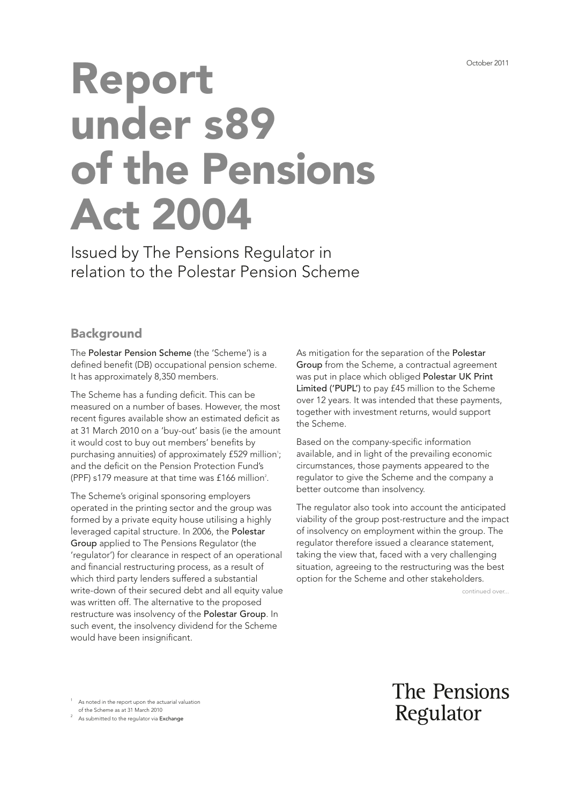# Report under s89 of the Pensions Act 2004

Issued by The Pensions Regulator in relation to the Polestar Pension Scheme

## **Background**

The Polestar Pension Scheme (the 'Scheme') is a defined benefit (DB) occupational pension scheme. It has approximately 8,350 members.

The Scheme has a funding deficit. This can be measured on a number of bases. However, the most recent figures available show an estimated deficit as at 31 March 2010 on a 'buy-out' basis (ie the amount it would cost to buy out members' benefits by purchasing annuities) of approximately £529 million<sup>1</sup>; and the deficit on the Pension Protection Fund's (PPF) s179 measure at that time was  $£166$  million<sup>2</sup>.

The Scheme's original sponsoring employers operated in the printing sector and the group was formed by a private equity house utilising a highly leveraged capital structure. In 2006, the Polestar Group applied to The Pensions Regulator (the 'regulator') for clearance in respect of an operational and financial restructuring process, as a result of which third party lenders suffered a substantial write-down of their secured debt and all equity value was written off. The alternative to the proposed restructure was insolvency of the Polestar Group. In such event, the insolvency dividend for the Scheme would have been insignificant.

As mitigation for the separation of the Polestar Group from the Scheme, a contractual agreement was put in place which obliged Polestar UK Print Limited ('PUPL') to pay £45 million to the Scheme over 12 years. It was intended that these payments, together with investment returns, would support the Scheme.

Based on the company-specific information available, and in light of the prevailing economic circumstances, those payments appeared to the regulator to give the Scheme and the company a better outcome than insolvency.

The regulator also took into account the anticipated viability of the group post-restructure and the impact of insolvency on employment within the group. The regulator therefore issued a clearance statement, taking the view that, faced with a very challenging situation, agreeing to the restructuring was the best option for the Scheme and other stakeholders.

continued over...

<sup>1</sup> As noted in the report upon the actuarial valuation

of the Scheme as at 31 March 2010<br><sup>2</sup> As submitted to the regulator via Exchange

The Pensions Regulator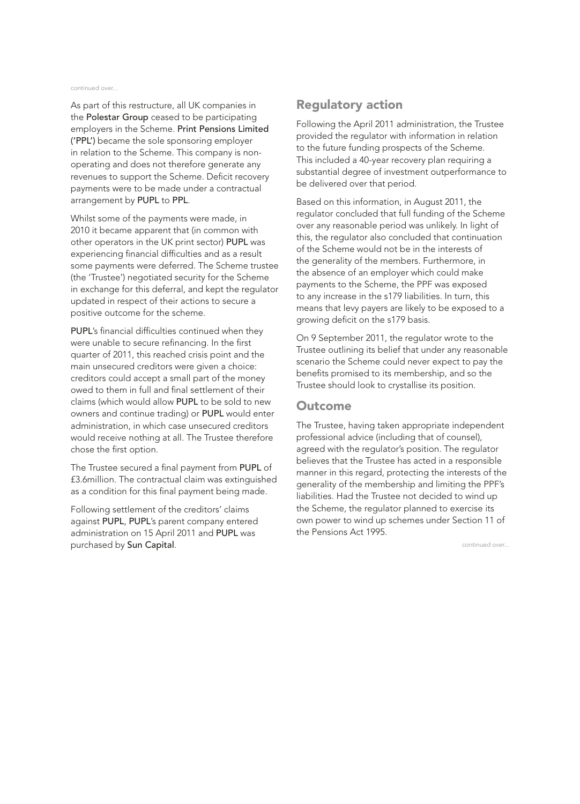#### continued over...

As part of this restructure, all UK companies in the Polestar Group ceased to be participating employers in the Scheme. Print Pensions Limited ('PPL') became the sole sponsoring employer in relation to the Scheme. This company is nonoperating and does not therefore generate any revenues to support the Scheme. Deficit recovery payments were to be made under a contractual arrangement by PUPL to PPL.

Whilst some of the payments were made, in 2010 it became apparent that (in common with other operators in the UK print sector) PUPL was experiencing financial difficulties and as a result some payments were deferred. The Scheme trustee (the 'Trustee') negotiated security for the Scheme in exchange for this deferral, and kept the regulator updated in respect of their actions to secure a positive outcome for the scheme.

PUPL's financial difficulties continued when they were unable to secure refinancing. In the first quarter of 2011, this reached crisis point and the main unsecured creditors were given a choice: creditors could accept a small part of the money owed to them in full and final settlement of their claims (which would allow PUPL to be sold to new owners and continue trading) or PUPL would enter administration, in which case unsecured creditors would receive nothing at all. The Trustee therefore chose the first option.

The Trustee secured a final payment from PUPL of £3.6million. The contractual claim was extinguished as a condition for this final payment being made.

Following settlement of the creditors' claims against PUPL, PUPL's parent company entered administration on 15 April 2011 and PUPL was purchased by Sun Capital.

#### Regulatory action

Following the April 2011 administration, the Trustee provided the regulator with information in relation to the future funding prospects of the Scheme. This included a 40-year recovery plan requiring a substantial degree of investment outperformance to be delivered over that period.

Based on this information, in August 2011, the regulator concluded that full funding of the Scheme over any reasonable period was unlikely. In light of this, the regulator also concluded that continuation of the Scheme would not be in the interests of the generality of the members. Furthermore, in the absence of an employer which could make payments to the Scheme, the PPF was exposed to any increase in the s179 liabilities. In turn, this means that levy payers are likely to be exposed to a growing deficit on the s179 basis.

On 9 September 2011, the regulator wrote to the Trustee outlining its belief that under any reasonable scenario the Scheme could never expect to pay the benefits promised to its membership, and so the Trustee should look to crystallise its position.

#### **Outcome**

The Trustee, having taken appropriate independent professional advice (including that of counsel), agreed with the regulator's position. The regulator believes that the Trustee has acted in a responsible manner in this regard, protecting the interests of the generality of the membership and limiting the PPF's liabilities. Had the Trustee not decided to wind up the Scheme, the regulator planned to exercise its own power to wind up schemes under Section 11 of the Pensions Act 1995.

continued over...